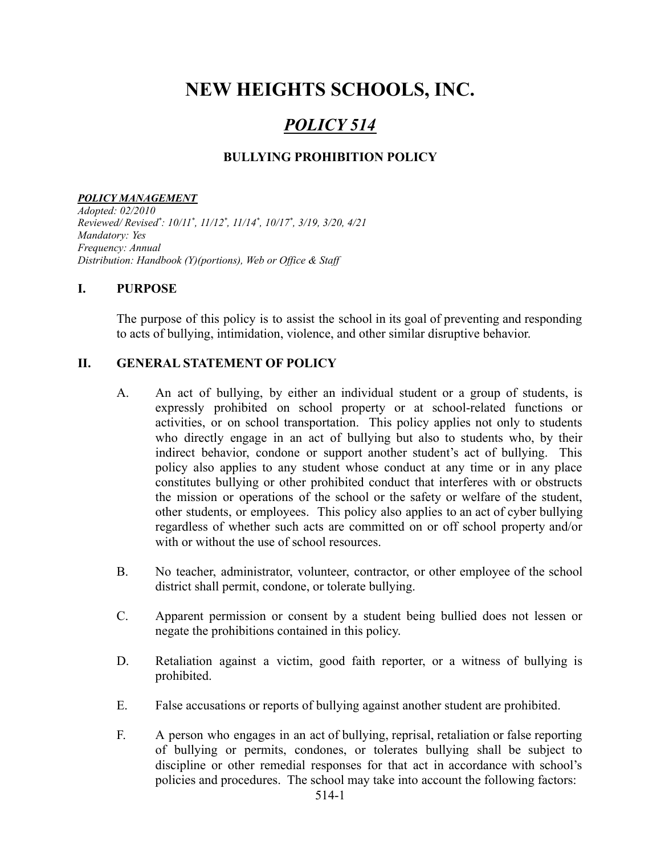# **NEW HEIGHTS SCHOOLS, INC.**

## *POLICY 514*

#### **BULLYING PROHIBITION POLICY**

#### *POLICY MANAGEMENT*

*Adopted: 02/2010 Reviewed/ Revised \* : 10/11 \* , 11/12 \* , 11/14 \* , 10/17 \* , 3/19, 3/20, 4/21 Mandatory: Yes Frequency: Annual Distribution: Handbook (Y)(portions), Web or Of ice & Staf*

#### **I. PURPOSE**

The purpose of this policy is to assist the school in its goal of preventing and responding to acts of bullying, intimidation, violence, and other similar disruptive behavior.

#### **II. GENERAL STATEMENT OF POLICY**

- A. An act of bullying, by either an individual student or a group of students, is expressly prohibited on school property or at school-related functions or activities, or on school transportation. This policy applies not only to students who directly engage in an act of bullying but also to students who, by their indirect behavior, condone or support another student's act of bullying. This policy also applies to any student whose conduct at any time or in any place constitutes bullying or other prohibited conduct that interferes with or obstructs the mission or operations of the school or the safety or welfare of the student, other students, or employees. This policy also applies to an act of cyber bullying regardless of whether such acts are committed on or off school property and/or with or without the use of school resources.
- B. No teacher, administrator, volunteer, contractor, or other employee of the school district shall permit, condone, or tolerate bullying.
- C. Apparent permission or consent by a student being bullied does not lessen or negate the prohibitions contained in this policy.
- D. Retaliation against a victim, good faith reporter, or a witness of bullying is prohibited.
- E. False accusations or reports of bullying against another student are prohibited.
- F. A person who engages in an act of bullying, reprisal, retaliation or false reporting of bullying or permits, condones, or tolerates bullying shall be subject to discipline or other remedial responses for that act in accordance with school's policies and procedures. The school may take into account the following factors: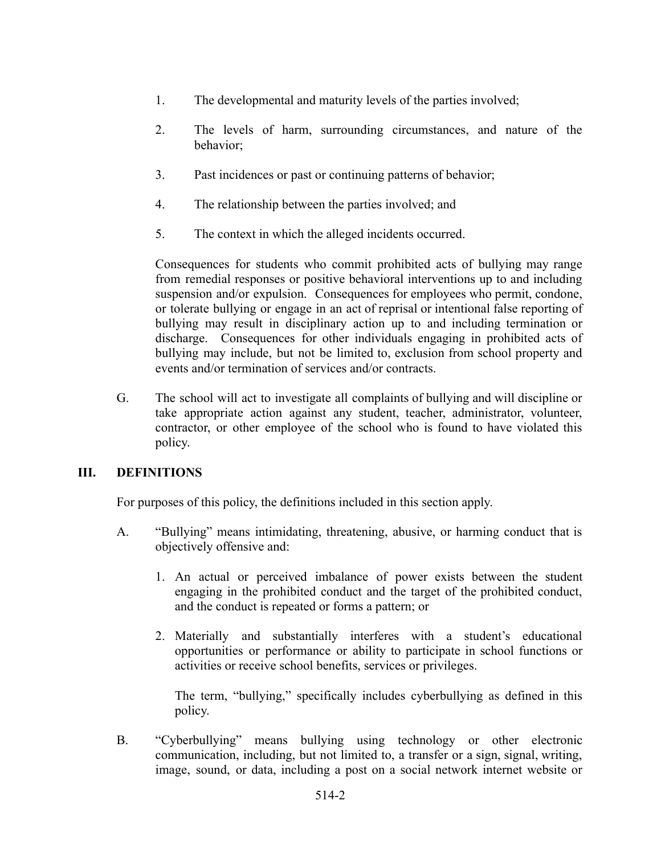- 1. The developmental and maturity levels of the parties involved;
- 2. The levels of harm, surrounding circumstances, and nature of the behavior;
- 3. Past incidences or past or continuing patterns of behavior;
- 4. The relationship between the parties involved; and
- 5. The context in which the alleged incidents occurred.

Consequences for students who commit prohibited acts of bullying may range from remedial responses or positive behavioral interventions up to and including suspension and/or expulsion. Consequences for employees who permit, condone, or tolerate bullying or engage in an act of reprisal or intentional false reporting of bullying may result in disciplinary action up to and including termination or discharge. Consequences for other individuals engaging in prohibited acts of bullying may include, but not be limited to, exclusion from school property and events and/or termination of services and/or contracts.

G. The school will act to investigate all complaints of bullying and will discipline or take appropriate action against any student, teacher, administrator, volunteer, contractor, or other employee of the school who is found to have violated this policy.

### **III. DEFINITIONS**

For purposes of this policy, the definitions included in this section apply.

- A. "Bullying" means intimidating, threatening, abusive, or harming conduct that is objectively offensive and:
	- 1. An actual or perceived imbalance of power exists between the student engaging in the prohibited conduct and the target of the prohibited conduct, and the conduct is repeated or forms a pattern; or
	- 2. Materially and substantially interferes with a student's educational opportunities or performance or ability to participate in school functions or activities or receive school benefits, services or privileges.

The term, "bullying," specifically includes cyberbullying as defined in this policy.

B. "Cyberbullying" means bullying using technology or other electronic communication, including, but not limited to, a transfer or a sign, signal, writing, image, sound, or data, including a post on a social network internet website or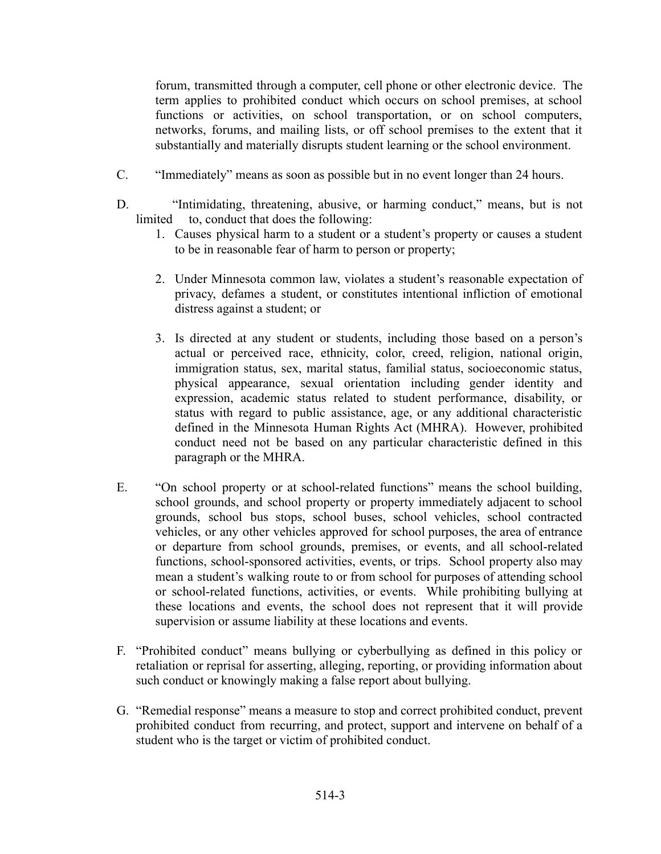forum, transmitted through a computer, cell phone or other electronic device. The term applies to prohibited conduct which occurs on school premises, at school functions or activities, on school transportation, or on school computers, networks, forums, and mailing lists, or off school premises to the extent that it substantially and materially disrupts student learning or the school environment.

- C. "Immediately" means as soon as possible but in no event longer than 24 hours.
- D. "Intimidating, threatening, abusive, or harming conduct," means, but is not limited to, conduct that does the following:
	- 1. Causes physical harm to a student or a student's property or causes a student to be in reasonable fear of harm to person or property;
	- 2. Under Minnesota common law, violates a student's reasonable expectation of privacy, defames a student, or constitutes intentional infliction of emotional distress against a student; or
	- 3. Is directed at any student or students, including those based on a person's actual or perceived race, ethnicity, color, creed, religion, national origin, immigration status, sex, marital status, familial status, socioeconomic status, physical appearance, sexual orientation including gender identity and expression, academic status related to student performance, disability, or status with regard to public assistance, age, or any additional characteristic defined in the Minnesota Human Rights Act (MHRA). However, prohibited conduct need not be based on any particular characteristic defined in this paragraph or the MHRA.
- E. "On school property or at school-related functions" means the school building, school grounds, and school property or property immediately adjacent to school grounds, school bus stops, school buses, school vehicles, school contracted vehicles, or any other vehicles approved for school purposes, the area of entrance or departure from school grounds, premises, or events, and all school-related functions, school-sponsored activities, events, or trips. School property also may mean a student's walking route to or from school for purposes of attending school or school-related functions, activities, or events. While prohibiting bullying at these locations and events, the school does not represent that it will provide supervision or assume liability at these locations and events.
- F. "Prohibited conduct" means bullying or cyberbullying as defined in this policy or retaliation or reprisal for asserting, alleging, reporting, or providing information about such conduct or knowingly making a false report about bullying.
- G. "Remedial response" means a measure to stop and correct prohibited conduct, prevent prohibited conduct from recurring, and protect, support and intervene on behalf of a student who is the target or victim of prohibited conduct.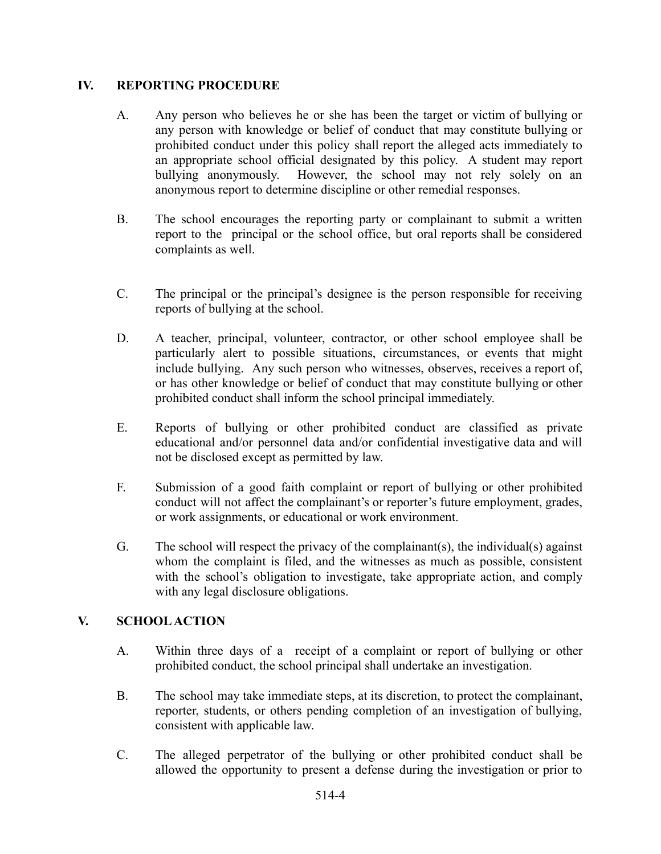#### **IV. REPORTING PROCEDURE**

- A. Any person who believes he or she has been the target or victim of bullying or any person with knowledge or belief of conduct that may constitute bullying or prohibited conduct under this policy shall report the alleged acts immediately to an appropriate school official designated by this policy. A student may report bullying anonymously. However, the school may not rely solely on an anonymous report to determine discipline or other remedial responses.
- B. The school encourages the reporting party or complainant to submit a written report to the principal or the school office, but oral reports shall be considered complaints as well.
- C. The principal or the principal's designee is the person responsible for receiving reports of bullying at the school.
- D. A teacher, principal, volunteer, contractor, or other school employee shall be particularly alert to possible situations, circumstances, or events that might include bullying. Any such person who witnesses, observes, receives a report of, or has other knowledge or belief of conduct that may constitute bullying or other prohibited conduct shall inform the school principal immediately.
- E. Reports of bullying or other prohibited conduct are classified as private educational and/or personnel data and/or confidential investigative data and will not be disclosed except as permitted by law.
- F. Submission of a good faith complaint or report of bullying or other prohibited conduct will not affect the complainant's or reporter's future employment, grades, or work assignments, or educational or work environment.
- G. The school will respect the privacy of the complainant(s), the individual(s) against whom the complaint is filed, and the witnesses as much as possible, consistent with the school's obligation to investigate, take appropriate action, and comply with any legal disclosure obligations.

### **V. SCHOOLACTION**

- A. Within three days of a receipt of a complaint or report of bullying or other prohibited conduct, the school principal shall undertake an investigation.
- B. The school may take immediate steps, at its discretion, to protect the complainant, reporter, students, or others pending completion of an investigation of bullying, consistent with applicable law.
- C. The alleged perpetrator of the bullying or other prohibited conduct shall be allowed the opportunity to present a defense during the investigation or prior to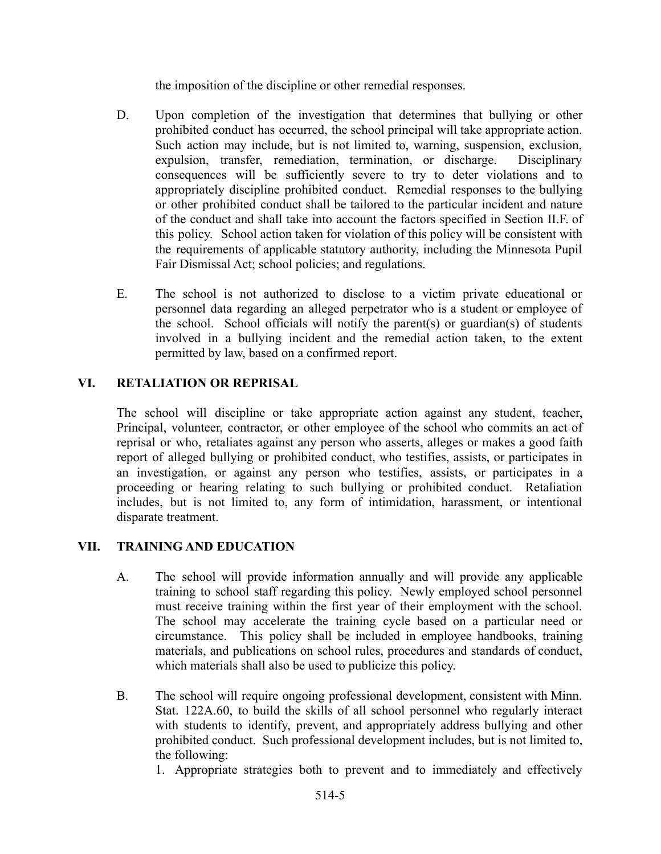the imposition of the discipline or other remedial responses.

- D. Upon completion of the investigation that determines that bullying or other prohibited conduct has occurred, the school principal will take appropriate action. Such action may include, but is not limited to, warning, suspension, exclusion, expulsion, transfer, remediation, termination, or discharge. Disciplinary consequences will be sufficiently severe to try to deter violations and to appropriately discipline prohibited conduct. Remedial responses to the bullying or other prohibited conduct shall be tailored to the particular incident and nature of the conduct and shall take into account the factors specified in Section II.F. of this policy. School action taken for violation of this policy will be consistent with the requirements of applicable statutory authority, including the Minnesota Pupil Fair Dismissal Act; school policies; and regulations.
- E. The school is not authorized to disclose to a victim private educational or personnel data regarding an alleged perpetrator who is a student or employee of the school. School officials will notify the parent(s) or guardian(s) of students involved in a bullying incident and the remedial action taken, to the extent permitted by law, based on a confirmed report.

### **VI. RETALIATION OR REPRISAL**

The school will discipline or take appropriate action against any student, teacher, Principal, volunteer, contractor, or other employee of the school who commits an act of reprisal or who, retaliates against any person who asserts, alleges or makes a good faith report of alleged bullying or prohibited conduct, who testifies, assists, or participates in an investigation, or against any person who testifies, assists, or participates in a proceeding or hearing relating to such bullying or prohibited conduct. Retaliation includes, but is not limited to, any form of intimidation, harassment, or intentional disparate treatment.

### **VII. TRAINING AND EDUCATION**

- A. The school will provide information annually and will provide any applicable training to school staff regarding this policy. Newly employed school personnel must receive training within the first year of their employment with the school. The school may accelerate the training cycle based on a particular need or circumstance. This policy shall be included in employee handbooks, training materials, and publications on school rules, procedures and standards of conduct, which materials shall also be used to publicize this policy.
- B. The school will require ongoing professional development, consistent with Minn. Stat. 122A.60, to build the skills of all school personnel who regularly interact with students to identify, prevent, and appropriately address bullying and other prohibited conduct. Such professional development includes, but is not limited to, the following:

1. Appropriate strategies both to prevent and to immediately and effectively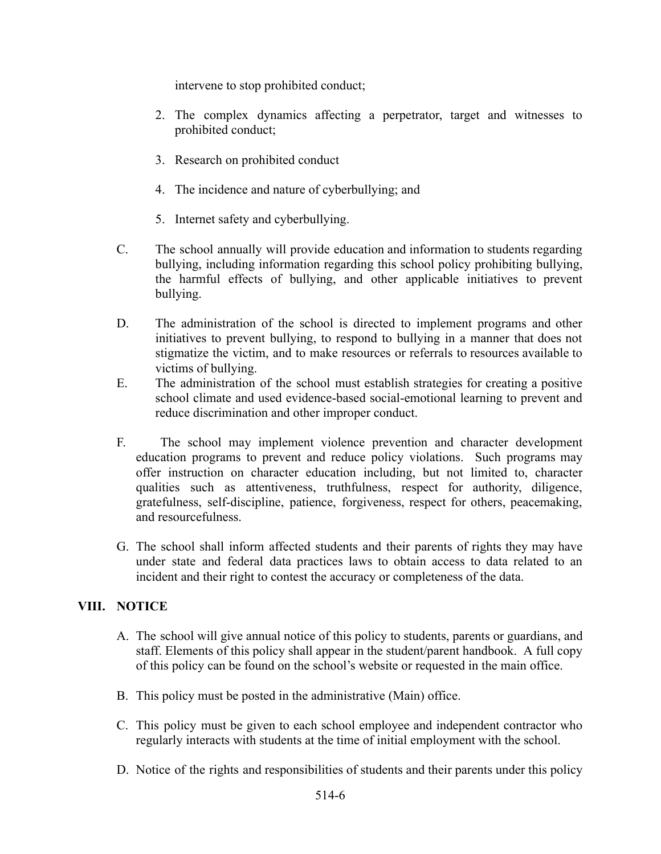intervene to stop prohibited conduct;

- 2. The complex dynamics affecting a perpetrator, target and witnesses to prohibited conduct;
- 3. Research on prohibited conduct
- 4. The incidence and nature of cyberbullying; and
- 5. Internet safety and cyberbullying.
- C. The school annually will provide education and information to students regarding bullying, including information regarding this school policy prohibiting bullying, the harmful effects of bullying, and other applicable initiatives to prevent bullying.
- D. The administration of the school is directed to implement programs and other initiatives to prevent bullying, to respond to bullying in a manner that does not stigmatize the victim, and to make resources or referrals to resources available to victims of bullying.
- E. The administration of the school must establish strategies for creating a positive school climate and used evidence-based social-emotional learning to prevent and reduce discrimination and other improper conduct.
- F. The school may implement violence prevention and character development education programs to prevent and reduce policy violations. Such programs may offer instruction on character education including, but not limited to, character qualities such as attentiveness, truthfulness, respect for authority, diligence, gratefulness, self-discipline, patience, forgiveness, respect for others, peacemaking, and resourcefulness.
- G. The school shall inform affected students and their parents of rights they may have under state and federal data practices laws to obtain access to data related to an incident and their right to contest the accuracy or completeness of the data.

### **VIII. NOTICE**

- A. The school will give annual notice of this policy to students, parents or guardians, and staff. Elements of this policy shall appear in the student/parent handbook. A full copy of this policy can be found on the school's website or requested in the main office.
- B. This policy must be posted in the administrative (Main) office.
- C. This policy must be given to each school employee and independent contractor who regularly interacts with students at the time of initial employment with the school.
- D. Notice of the rights and responsibilities of students and their parents under this policy